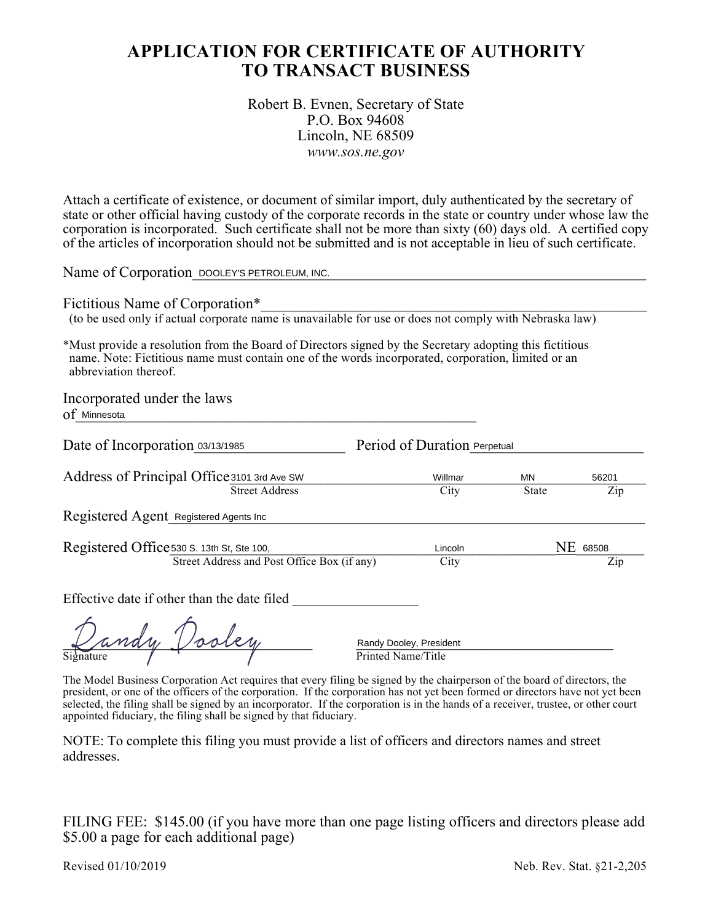# **APPLICATION FOR CERTIFICATE OF AUTHORITY TO TRANSACT BUSINESS**

#### Robert B. Evnen, Secretary of State P.O. Box 94608 Lincoln, NE 68509 *www.sos.ne.gov*

Attach a certificate of existence, or document of similar import, duly authenticated by the secretary of state or other official having custody of the corporate records in the state or country under whose law the corporation is incorporated. Such certificate shall not be more than sixty (60) days old. A certified copy of the articles of incorporation should not be submitted and is not acceptable in lieu of such certificate.

Name of Corporation DOOLEY'S PETROLEUM, INC.

Fictitious Name of Corporation\*

(to be used only if actual corporate name is unavailable for use or does not comply with Nebraska law)

\*Must provide a resolution from the Board of Directors signed by the Secretary adopting this fictitious name. Note: Fictitious name must contain one of the words incorporated, corporation, limited or an abbreviation thereof. ame of Corporation <u>DOOLEY'S PETROLEUM, INC.</u><br>
ctitious Name of Corporation\*<br>
o be used only if actual corporate name is unavailable for use or does not comply with<br>
tust provide a resolution from the Board of Directors si

Incorporated under the laws

Of Minnesota

Date of Incorporation 03/13/1985 Period of Duration Perpetual

Address of Principal Office 3101 3rd Ave SW Willmar MN 56201<br>Street Address City State Zip Street Address City State pal Office 3101 3rd Ave SW Willmar MN 56201<br>
Street Address City State Zi<br>
Registered Agents Inc

Registered Agent Registered Agents Inc

| Registered Office 530 S. 13th St, Ste 100,  | Lincoln           | <b>NE</b> 68508 |
|---------------------------------------------|-------------------|-----------------|
| Street Address and Post Office Box (if any) | $\mathcal{L}$ ity |                 |

Effective date if other than the date filed

ndy Vooley Signature  $\sqrt{ }$   $\sqrt{ }$  Printed Name/Title

Randy Dooley, President

The Model Business Corporation Act requires that every filing be signed by the chairperson of the board of directors, the president, or one of the officers of the corporation. If the corporation has not yet been formed or directors have not yet been selected, the filing shall be signed by an incorporator. If the corporation is in the hands of a receiver, trustee, or other court appointed fiduciary, the filing shall be signed by that fiduciary.

NOTE: To complete this filing you must provide a list of officers and directors names and street addresses.

FILING FEE: \$145.00 (if you have more than one page listing officers and directors please add \$5.00 a page for each additional page)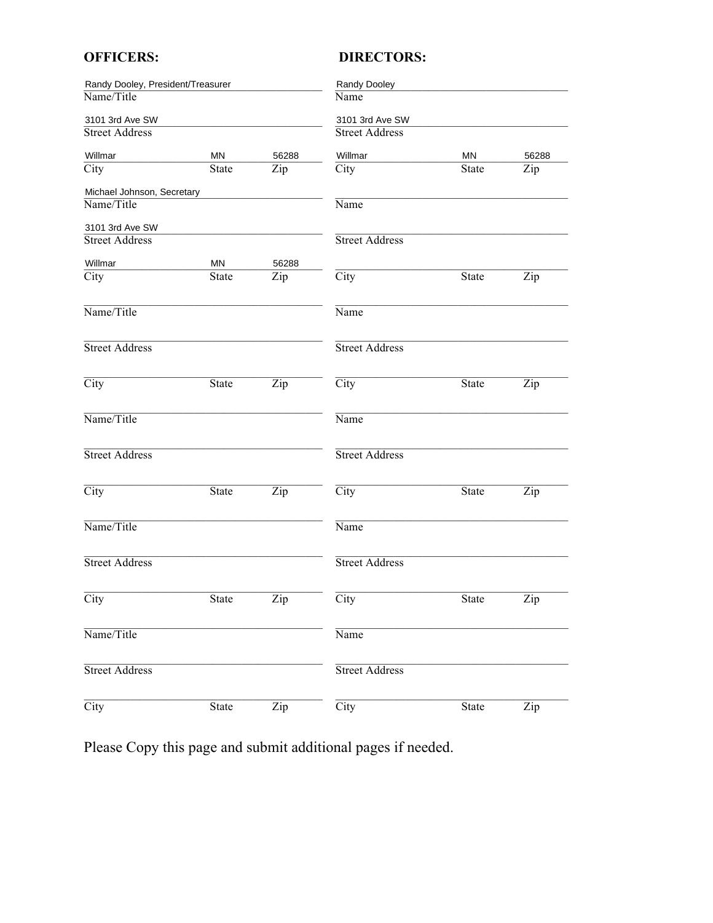## **OFFICERS:**

## **DIRECTORS:**

| Randy Dooley, President/Treasurer |              |                           | Randy Dooley               |              |       |
|-----------------------------------|--------------|---------------------------|----------------------------|--------------|-------|
| Name/Title                        |              |                           | Name                       |              |       |
| 3101 3rd Ave SW                   |              |                           | 3101 3rd Ave SW            |              |       |
| <b>Street Address</b>             |              |                           | <b>Street Address</b>      |              |       |
| Willmar                           | <b>MN</b>    | 56288                     | Willmar                    | ΜN           | 56288 |
| $\overline{\mathrm{City}}$        | State        | Zip                       | $\overline{\mathrm{City}}$ | State        | Zip   |
| Michael Johnson, Secretary        |              |                           |                            |              |       |
| Name/Title                        |              |                           | Name                       |              |       |
| 3101 3rd Ave SW                   |              |                           |                            |              |       |
| <b>Street Address</b>             |              |                           | <b>Street Address</b>      |              |       |
| Willmar                           | ΜN           | 56288                     |                            |              |       |
| City                              | State        | Zip                       | $\overline{City}$          | <b>State</b> | Zip   |
| Name/Title                        |              |                           | Name                       |              |       |
| <b>Street Address</b>             |              |                           | <b>Street Address</b>      |              |       |
| $\overline{City}$                 | State        | $\overline{\mathrm{Zip}}$ | $\overline{City}$          | <b>State</b> | Zip   |
| Name/Title                        |              |                           | Name                       |              |       |
| <b>Street Address</b>             |              |                           | <b>Street Address</b>      |              |       |
| $\overline{City}$                 | State        | Zip                       | $\overline{City}$          | <b>State</b> | Zip   |
| Name/Title                        |              |                           | Name                       |              |       |
| <b>Street Address</b>             |              |                           | <b>Street Address</b>      |              |       |
| $\overline{City}$                 | State        | Zip                       | $\overline{\mathrm{City}}$ | State        | Zip   |
| Name/Title                        |              |                           | Name                       |              |       |
| <b>Street Address</b>             |              |                           | <b>Street Address</b>      |              |       |
| $\overline{City}$                 | <b>State</b> | $\overline{\mathrm{Zip}}$ | $\overline{\mathrm{City}}$ | <b>State</b> | Zip   |

Please Copy this page and submit additional pages if needed.